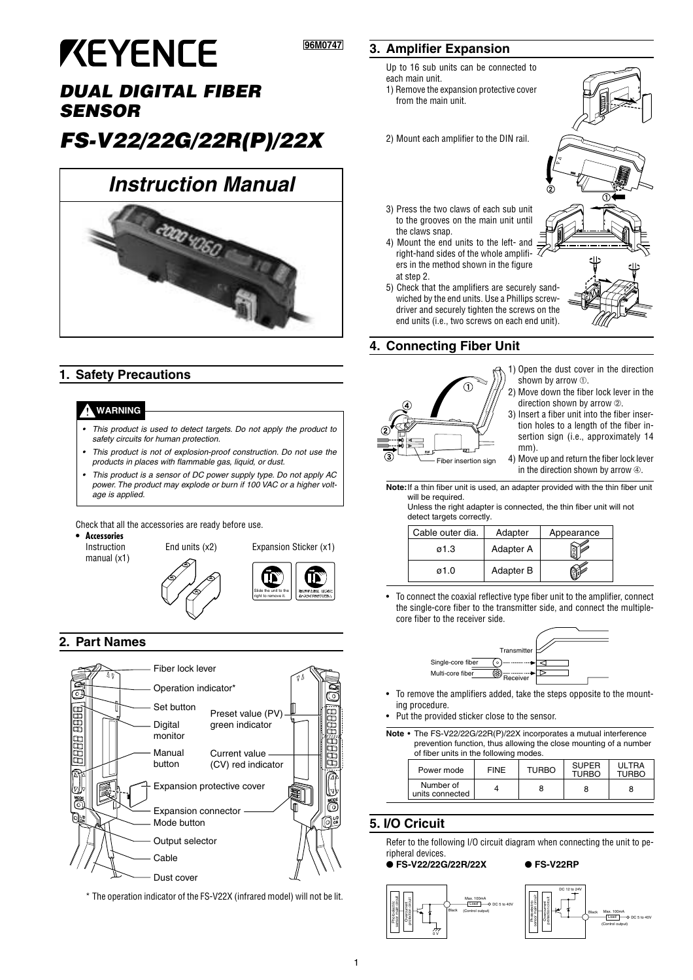# **KEYENCE**

# **DUAL DIGITAL FIBER SENSOR**

# **FS-V22/22G/22R(P)/22X**

# **Instruction Manual**



# **1. Safety Precautions**

# **WARNING**

- • This product is used to detect targets. Do not apply the product to safety circuits for human protection.
- • This product is not of explosion-proof construction. Do not use the products in places with flammable gas, liquid, or dust.
- • This product is a sensor of DC power supply type. Do not apply AC power. The product may explode or burn if 100 VAC or a higher voltage is applied.

Check that all the accessories are ready before use.

**• Accessories**

Instruction End units (x2) Expansion Sticker (x1) manual (x1)



Slide the unit to the right to remove it.

# **2. Part Names**



\* The operation indicator of the FS-V22X (infrared model) will not be lit.

# **3. Amplifier Expansion**

**96M0747 ???**

Up to 16 sub units can be connected to each main unit.

- 1) Remove the expansion protective cover from the main unit.
- 2) Mount each amplifier to the DIN rail.
- 3) Press the two claws of each sub unit to the grooves on the main unit until the claws snap.
- 4) Mount the end units to the left- and right-hand sides of the whole amplifiers in the method shown in the figure at sten 2
- 5) Check that the amplifiers are securely sandwiched by the end units. Use a Phillips screwdriver and securely tighten the screws on the end units (i.e., two screws on each end unit).

# **4. Connecting Fiber Unit**



- 1) Open the dust cover in the direction shown by arrow ➀.
- 2) Move down the fiber lock lever in the direction shown by arrow  $\oslash$ .
- 3) Insert a fiber unit into the fiber insertion holes to a length of the fiber insertion sign (i.e., approximately 14 mm).
- 4) Move up and return the fiber lock lever in the direction shown by arrow  $@.$

**Note:**If a thin fiber unit is used, an adapter provided with the thin fiber unit will be required.

Unless the right adapter is connected, the thin fiber unit will not detect targets correctly.

| Cable outer dia. | Adapter   | Appearance |
|------------------|-----------|------------|
| ø1.3             | Adapter A |            |
| ø1.0             | Adapter B |            |

• To connect the coaxial reflective type fiber unit to the amplifier, connect the single-core fiber to the transmitter side, and connect the multiplecore fiber to the receiver side.



- To remove the amplifiers added, take the steps opposite to the mounting procedure.
- Put the provided sticker close to the sensor.

**Note** • The FS-V22/22G/22R(P)/22X incorporates a mutual interference prevention function, thus allowing the close mounting of a number of fiber units in the following modes.

| or moor arms in the following modes. |             |              |                              |                       |
|--------------------------------------|-------------|--------------|------------------------------|-----------------------|
| Power mode                           | <b>FINE</b> | <b>TURBO</b> | <b>SUPER</b><br><b>TURBO</b> | ULTRA<br><b>TURBO</b> |
| Number of<br>units connected         |             |              |                              |                       |

# **5. I/O Cricuit**

Photoelectric sensor main circuit **Overcurrent** protection circuit

Refer to the following I/O circuit diagram when connecting the unit to peripheral devices.

# ● **FS-V22/22G/22R/22X** ● **FS-V22RP**

0 V



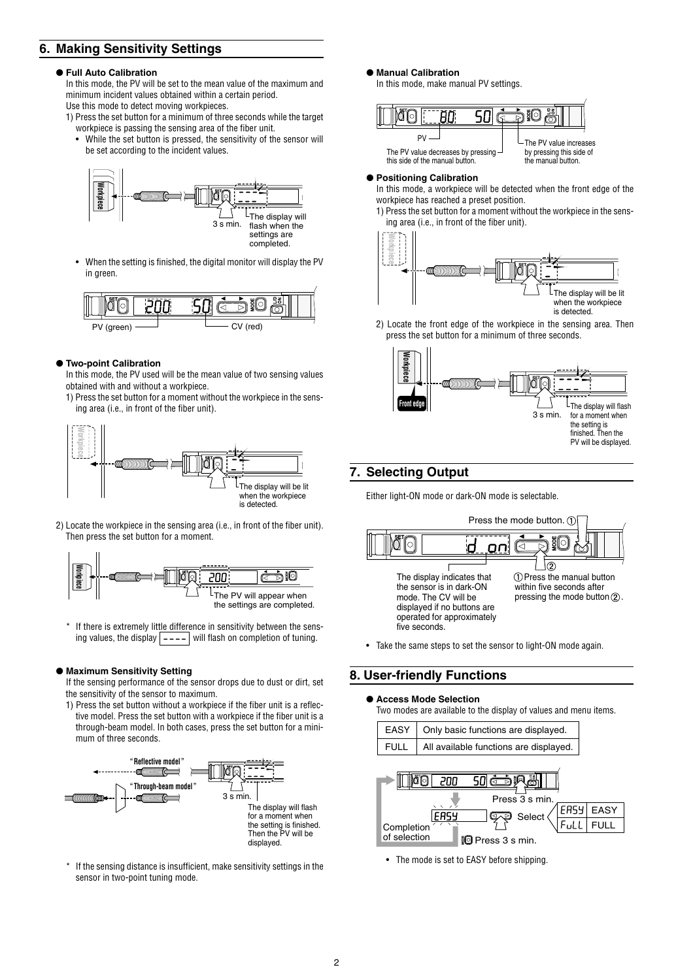# **6. Making Sensitivity Settings**

## ● **Full Auto Calibration**

In this mode, the PV will be set to the mean value of the maximum and minimum incident values obtained within a certain period. Use this mode to detect moving workpieces.

- 1) Press the set button for a minimum of three seconds while the target workpiece is passing the sensing area of the fiber unit.
	- While the set button is pressed, the sensitivity of the sensor will be set according to the incident values.



• When the setting is finished, the digital monitor will display the PV in green.



# ● **Two-point Calibration**

In this mode, the PV used will be the mean value of two sensing values obtained with and without a workpiece.

1) Press the set button for a moment without the workpiece in the sensing area (i.e., in front of the fiber unit).



2) Locate the workpiece in the sensing area (i.e., in front of the fiber unit). Then press the set button for a moment.



If there is extremely little difference in sensitivity between the sensing values, the display  $\boxed{\text{-} \text{-} \text{-}}$  will flash on completion of tuning.

## ● **Maximum Sensitivity Setting**

If the sensing performance of the sensor drops due to dust or dirt, set the sensitivity of the sensor to maximum.

1) Press the set button without a workpiece if the fiber unit is a reflective model. Press the set button with a workpiece if the fiber unit is a through-beam model. In both cases, press the set button for a minimum of three seconds.



If the sensing distance is insufficient, make sensitivity settings in the sensor in two-point tuning mode.

● **Manua| Calibration**

In this mode, make manual PV settings.

|                                                                                                |  |  | $-$ The PV value increases                     |  |
|------------------------------------------------------------------------------------------------|--|--|------------------------------------------------|--|
| The PV value decreases by pressing $\overline{\phantom{a}}$<br>this side of the manual button. |  |  | by pressing this side of<br>the manual button. |  |

# ● **Positioning Calibration**

In this mode, a workpiece will be detected when the front edge of the workpiece has reached a preset position.

1) Press the set button for a moment without the workpiece in the sensing area (i.e., in front of the fiber unit).



2) Locate the front edge of the workpiece in the sensing area. Then press the set button for a minimum of three seconds.



# **7. Selecting Output**

Either light-ON mode or dark-ON mode is selectable.



• Take the same steps to set the sensor to light-ON mode again.

# **8. User-friendly Functions**

## ● **Access Mode Selection**

Two modes are available to the display of values and menu items.

|             | EASY   Only basic functions are displayed. |
|-------------|--------------------------------------------|
| <b>FULL</b> | All available functions are displayed.     |
|             |                                            |



• The mode is set to EASY before shipping.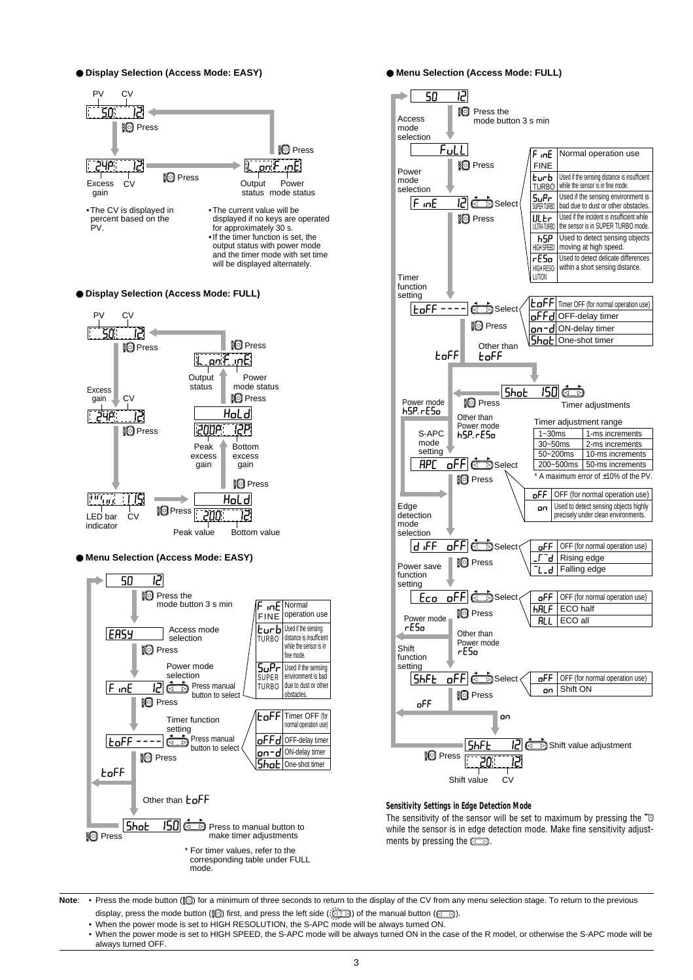● **Display Selection (Access Mode: EASY)**



● **Display Selection (Access Mode: FULL)**



● **Menu Selection (Access Mode: EASY)**



● **Menu Selection (Access Mode: FULL)**



### **Sensitivity Settings in Edge Detection Mode**

The sensitivity of the sensor will be set to maximum by pressing the " $\bullet$ " while the sensor is in edge detection mode. Make fine sensitivity adjustments by pressing the  $\Box$ .

Note: • Press the mode button (**[0]**) for a minimum of three seconds to return to the display of the CV from any menu selection stage. To return to the previous display, press the mode button ( $\circled{3}$ ) first, and press the left side ( $\circled{3}$ .) of the manual button ( $\circled{3}$ )

• When the power mode is set to HIGH RESOLUTION, the S-APC mode will be always turned ON.

• When the power mode is set to HIGH SPEED, the S-APC mode will be always turned ON in the case of the R model, or otherwise the S-APC mode will be always turned OFF.